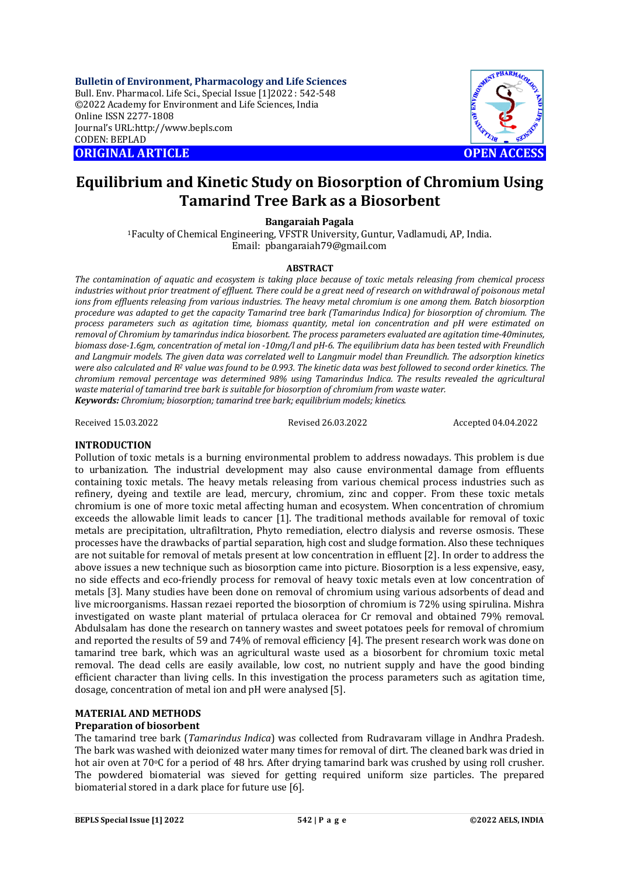**Bulletin of Environment, Pharmacology and Life Sciences** Bull. Env. Pharmacol. Life Sci., Special Issue [1]2022 : 542-548 ©2022 Academy for Environment and Life Sciences, India Online ISSN 2277-1808 Journal's URL:<http://www.bepls.com> CODEN: BEPLAD **ORIGINAL ARTICLE OPEN ACCESS** 



# **Equilibrium and Kinetic Study on Biosorption of Chromium Using Tamarind Tree Bark as a Biosorbent**

**Bangaraiah Pagala**

<sup>1</sup>Faculty of Chemical Engineering, VFSTR University, Guntur, Vadlamudi, AP, India. Email: [pbangaraiah79@gmail.com](mailto:pbangaraiah79@gmail.com)

#### **ABSTRACT**

*The contamination of aquatic and ecosystem is taking place because of toxic metals releasing from chemical process industries without prior treatment of effluent. There could be a great need of research on withdrawal of poisonous metal ions from effluents releasing from various industries. The heavy metal chromium is one among them. Batch biosorption procedure was adapted to get the capacity Tamarind tree bark (Tamarindus Indica) for biosorption of chromium. The process parameters such as agitation time, biomass quantity, metal ion concentration and pH were estimated on removal of Chromium by tamarindus indica biosorbent. The process parameters evaluated are agitation time-40minutes, biomass dose-1.6gm, concentration of metal ion -10mg/l and pH-6. The equilibrium data has been tested with Freundlich and Langmuir models. The given data was correlated well to Langmuir model than Freundlich. The adsorption kinetics were also calculated and R<sup>2</sup> value was found to be 0.993. The kinetic data was best followed to second order kinetics. The chromium removal percentage was determined 98% using Tamarindus Indica. The results revealed the agricultural waste material of tamarind tree bark is suitable for biosorption of chromium from waste water. Keywords: Chromium; biosorption; tamarind tree bark; equilibrium models; kinetics.*

Received 15.03.2022 Revised 26.03.2022 Accepted 04.04.2022

### **INTRODUCTION**

Pollution of toxic metals is a burning environmental problem to address nowadays. This problem is due to urbanization. The industrial development may also cause environmental damage from effluents containing toxic metals. The heavy metals releasing from various chemical process industries such as refinery, dyeing and textile are lead, mercury, chromium, zinc and copper. From these toxic metals chromium is one of more toxic metal affecting human and ecosystem. When concentration of chromium exceeds the allowable limit leads to cancer [1]. The traditional methods available for removal of toxic metals are precipitation, ultrafiltration, Phyto remediation, electro dialysis and reverse osmosis. These processes have the drawbacks of partial separation, high cost and sludge formation. Also these techniques are not suitable for removal of metals present at low concentration in effluent [2]. In order to address the above issues a new technique such as biosorption came into picture. Biosorption is a less expensive, easy, no side effects and eco-friendly process for removal of heavy toxic metals even at low concentration of metals [3]. Many studies have been done on removal of chromium using various adsorbents of dead and live microorganisms. Hassan rezaei reported the biosorption of chromium is 72% using spirulina. Mishra investigated on waste plant material of prtulaca oleracea for Cr removal and obtained 79% removal. Abdulsalam has done the research on tannery wastes and sweet potatoes peels for removal of chromium and reported the results of 59 and 74% of removal efficiency [4]. The present research work was done on tamarind tree bark, which was an agricultural waste used as a biosorbent for chromium toxic metal removal. The dead cells are easily available, low cost, no nutrient supply and have the good binding efficient character than living cells. In this investigation the process parameters such as agitation time, dosage, concentration of metal ion and pH were analysed [5].

#### **MATERIAL AND METHODS Preparation of biosorbent**

The tamarind tree bark (*Tamarindus Indica*) was collected from Rudravaram village in Andhra Pradesh. The bark was washed with deionized water many times for removal of dirt. The cleaned bark was dried in hot air oven at 70 °C for a period of 48 hrs. After drying tamarind bark was crushed by using roll crusher. The powdered biomaterial was sieved for getting required uniform size particles. The prepared biomaterial stored in a dark place for future use [6].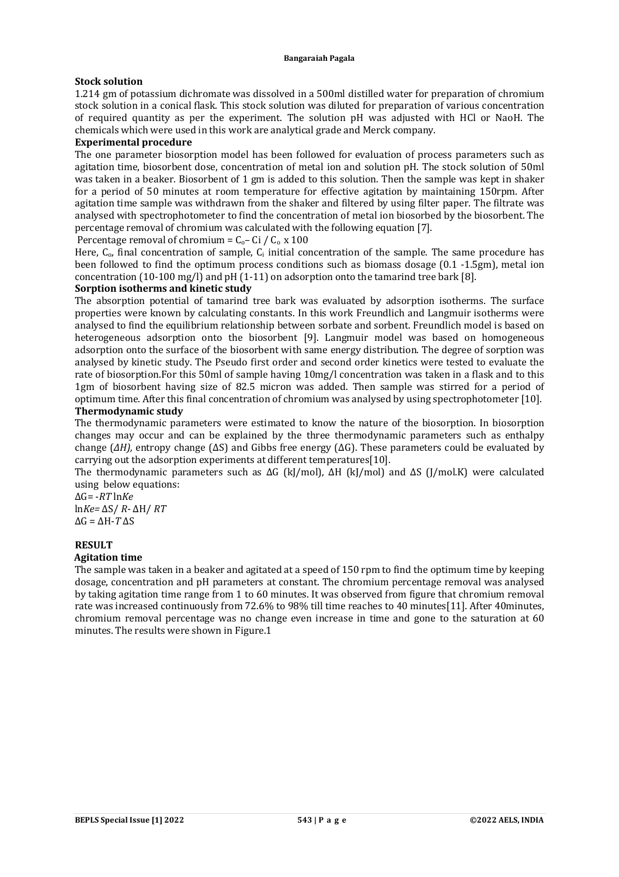## **Stock solution**

1.214 gm of potassium dichromate was dissolved in a 500ml distilled water for preparation of chromium stock solution in a conical flask. This stock solution was diluted for preparation of various concentration of required quantity as per the experiment. The solution pH was adjusted with HCl or NaoH. The chemicals which were used in this work are analytical grade and Merck company.

## **Experimental procedure**

The one parameter biosorption model has been followed for evaluation of process parameters such as agitation time, biosorbent dose, concentration of metal ion and solution pH. The stock solution of 50ml was taken in a beaker. Biosorbent of 1 gm is added to this solution. Then the sample was kept in shaker for a period of 50 minutes at room temperature for effective agitation by maintaining 150rpm. After agitation time sample was withdrawn from the shaker and filtered by using filter paper. The filtrate was analysed with spectrophotometer to find the concentration of metal ion biosorbed by the biosorbent. The percentage removal of chromium was calculated with the following equation [7].

Percentage removal of chromium =  $C_0$ – Ci /  $C_0$  x 100

Here,  $C_0$ , final concentration of sample,  $C_i$  initial concentration of the sample. The same procedure has been followed to find the optimum process conditions such as biomass dosage (0.1 -1.5gm), metal ion concentration (10-100 mg/l) and pH (1-11) on adsorption onto the tamarind tree bark [8].

## **Sorption isotherms and kinetic study**

The absorption potential of tamarind tree bark was evaluated by adsorption isotherms. The surface properties were known by calculating constants. In this work Freundlich and Langmuir isotherms were analysed to find the equilibrium relationship between sorbate and sorbent. Freundlich model is based on heterogeneous adsorption onto the biosorbent [9]. Langmuir model was based on homogeneous adsorption onto the surface of the biosorbent with same energy distribution. The degree of sorption was analysed by kinetic study. The Pseudo first order and second order kinetics were tested to evaluate the rate of biosorption.For this 50ml of sample having 10mg/l concentration was taken in a flask and to this 1gm of biosorbent having size of 82.5 micron was added. Then sample was stirred for a period of optimum time. After this final concentration of chromium was analysed by using spectrophotometer [10].

## **Thermodynamic study**

The thermodynamic parameters were estimated to know the nature of the biosorption. In biosorption changes may occur and can be explained by the three thermodynamic parameters such as enthalpy change (*∆H),* entropy change (∆S) and Gibbs free energy (∆G). These parameters could be evaluated by carrying out the adsorption experiments at different temperatures[10].

The thermodynamic parameters such as ΔG (kJ/mol), ΔH (kJ/mol) and ΔS (J/mol.K) were calculated using below equations:

ΔG= -*RT* ln*Ke* ln*Ke=* ΔS/ *R*- ΔH/ *RT* ΔG = ΔH-*T* ΔS

#### **RESULT Agitation time**

The sample was taken in a beaker and agitated at a speed of 150 rpm to find the optimum time by keeping dosage, concentration and pH parameters at constant. The chromium percentage removal was analysed by taking agitation time range from 1 to 60 minutes. It was observed from figure that chromium removal rate was increased continuously from 72.6% to 98% till time reaches to 40 minutes[11]. After 40minutes, chromium removal percentage was no change even increase in time and gone to the saturation at 60 minutes. The results were shown in Figure.1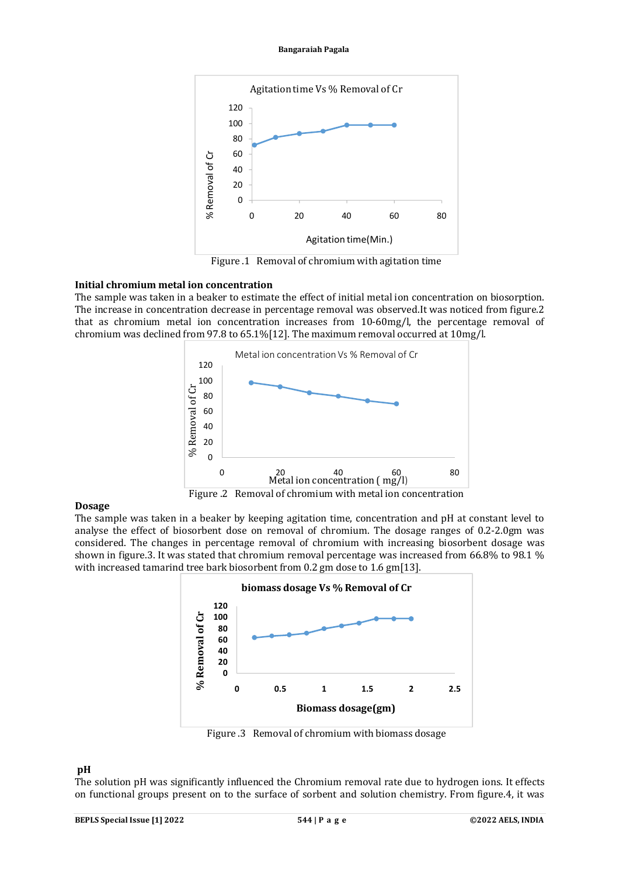**Bangaraiah Pagala**



Figure .1 Removal of chromium with agitation time

## **Initial chromium metal ion concentration**

The sample was taken in a beaker to estimate the effect of initial metal ion concentration on biosorption. The increase in concentration decrease in percentage removal was observed.It was noticed from figure.2 that as chromium metal ion concentration increases from 10-60mg/l, the percentage removal of chromium was declined from 97.8 to 65.1%[12]. The maximum removal occurred at 10mg/l.



### **Dosage**

The sample was taken in a beaker by keeping agitation time, concentration and pH at constant level to analyse the effect of biosorbent dose on removal of chromium. The dosage ranges of 0.2-2.0gm was considered. The changes in percentage removal of chromium with increasing biosorbent dosage was shown in figure.3. It was stated that chromium removal percentage was increased from 66.8% to 98.1 % with increased tamarind tree bark biosorbent from 0.2 gm dose to 1.6 gm[13].



Figure .3 Removal of chromium with biomass dosage

# **pH**

The solution pH was significantly influenced the Chromium removal rate due to hydrogen ions. It effects on functional groups present on to the surface of sorbent and solution chemistry. From figure.4, it was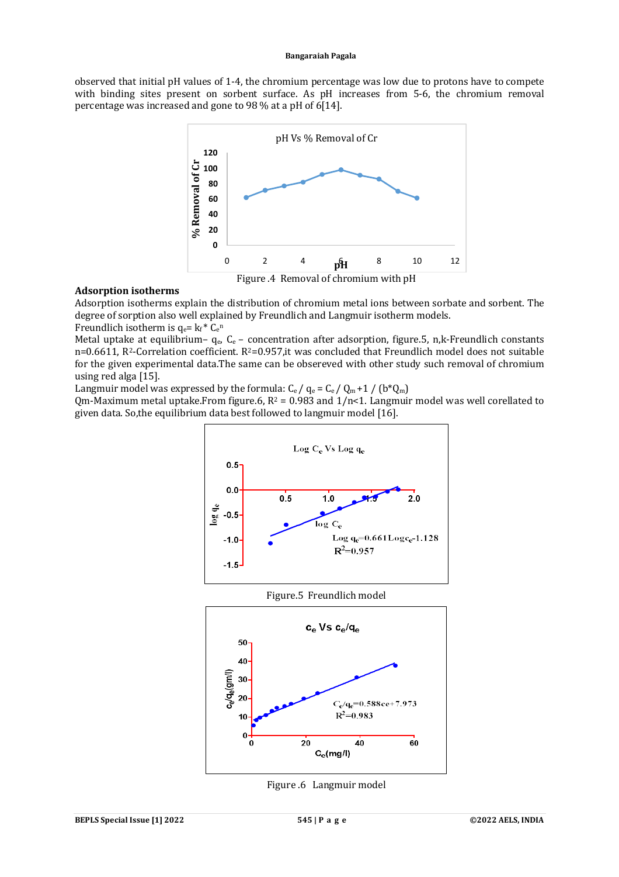#### **Bangaraiah Pagala**

observed that initial pH values of 1-4, the chromium percentage was low due to protons have to compete with binding sites present on sorbent surface. As pH increases from 5-6, the chromium removal percentage was increased and gone to 98 % at a pH of 6[14].



## **Adsorption isotherms**

Adsorption isotherms explain the distribution of chromium metal ions between sorbate and sorbent. The degree of sorption also well explained by Freundlich and Langmuir isotherm models.

Freundlich isotherm is  $q_e$ =  $k_f$ <sup>\*</sup> C<sub>e</sub><sup>n</sup>

Metal uptake at equilibrium-  $q_e$ ,  $C_e$  – concentration after adsorption, figure.5, n,k-Freundlich constants n=0.6611, R<sup>2</sup>-Correlation coefficient. R<sup>2</sup>=0.957, it was concluded that Freundlich model does not suitable for the given experimental data.The same can be obsereved with other study such removal of chromium using red alga [15].

Langmuir model was expressed by the formula:  $C_e / q_e = C_e / Q_m + 1 / (b^* Q_m)$ 

Qm-Maximum metal uptake.From figure.6,  $R^2 = 0.983$  and  $1/n < 1$ . Langmuir model was well corellated to given data. So,the equilibrium data best followed to langmuir model [16].



Figure .6 Langmuir model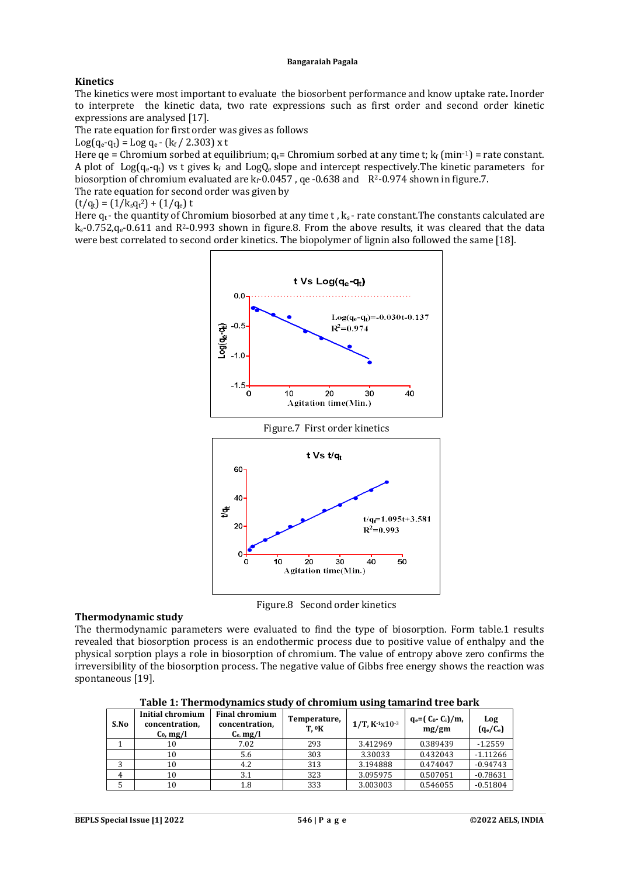#### **Bangaraiah Pagala**

## **Kinetics**

The kinetics were most important to evaluate the biosorbent performance and know uptake rate**.** Inorder to interprete the kinetic data, two rate expressions such as first order and second order kinetic expressions are analysed [17].

The rate equation for first order was gives as follows

 $Log(q_e-q_t) = Log q_e - (k_f / 2.303)$  x t

Here qe = Chromium sorbed at equilibrium;  $q_t$ = Chromium sorbed at any time t;  $k_f$  (min<sup>-1</sup>) = rate constant. A plot of  $Log(q_e-q_t)$  vs t gives  $k_f$  and  $LogQ_e$  slope and intercept respectively. The kinetic parameters for biosorption of chromium evaluated are  $k_f$ -0.0457, ge-0.638 and  $R^2$ -0.974 shown in figure.7. The rate equation for second order was given by

$$
(t/q_t) = (1/k_s q_t^2) + (1/q_e) t
$$

Here  $q_t$ - the quantity of Chromium biosorbed at any time t,  $k_s$ - rate constant. The constants calculated are  $k_s$ -0.752, $q_e$ -0.611 and R<sup>2</sup>-0.993 shown in figure.8. From the above results, it was cleared that the data were best correlated to second order kinetics. The biopolymer of lignin also followed the same [18].





## **Thermodynamic study**

The thermodynamic parameters were evaluated to find the type of biosorption. Form table.1 results revealed that biosorption process is an endothermic process due to positive value of enthalpy and the physical sorption plays a role in biosorption of chromium. The value of entropy above zero confirms the irreversibility of the biosorption process. The negative value of Gibbs free energy shows the reaction was spontaneous [19].

**Table 1: Thermodynamics study of chromium using tamarind tree bark**

| S.No | Initial chromium<br>concentration,<br>$C_0$ , mg/l | <b>Final chromium</b><br>concentration,<br>$C_e$ , mg/l | Temperature,<br>T. <sup>0</sup> K | $1/T$ , $K1X10-3$ | $q_e = (C_0 - C_i)/m$<br>mg/gm | Log<br>$(q_e/C_e)$ |
|------|----------------------------------------------------|---------------------------------------------------------|-----------------------------------|-------------------|--------------------------------|--------------------|
|      | 10                                                 | 7.02                                                    | 293                               | 3.412969          | 0.389439                       | $-1.2559$          |
|      | 10                                                 | 5.6                                                     | 303                               | 3.30033           | 0.432043                       | $-1.11266$         |
|      | 10                                                 | 4.2                                                     | 313                               | 3.194888          | 0.474047                       | $-0.94743$         |
|      | 10                                                 | 3.1                                                     | 323                               | 3.095975          | 0.507051                       | $-0.78631$         |
|      | 10                                                 | $1.8\,$                                                 | 333                               | 3.003003          | 0.546055                       | $-0.51804$         |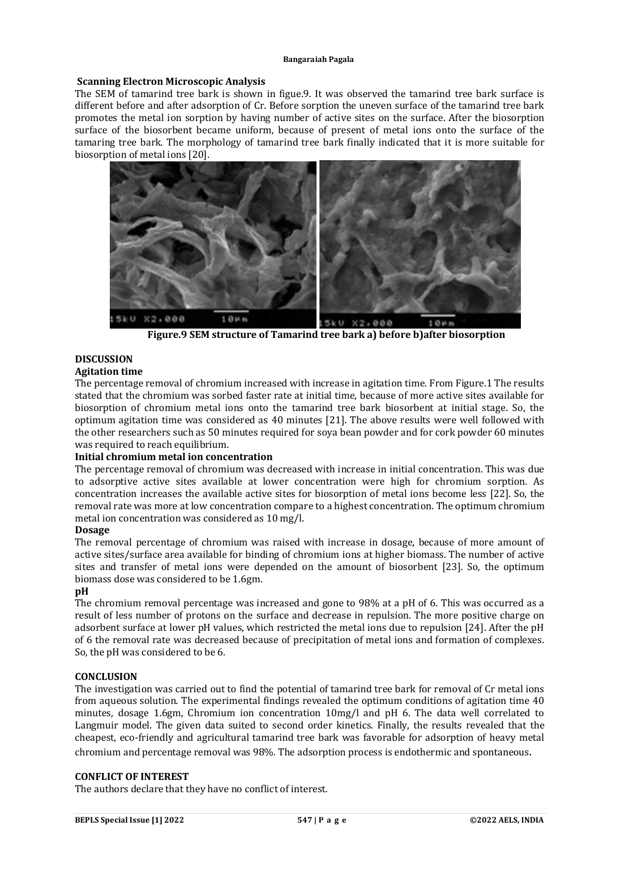## **Scanning Electron Microscopic Analysis**

The SEM of tamarind tree bark is shown in figue.9. It was observed the tamarind tree bark surface is different before and after adsorption of Cr. Before sorption the uneven surface of the tamarind tree bark promotes the metal ion sorption by having number of active sites on the surface. After the biosorption surface of the biosorbent became uniform, because of present of metal ions onto the surface of the tamaring tree bark. The morphology of tamarind tree bark finally indicated that it is more suitable for biosorption of metal ions [20].



**Figure.9 SEM structure of Tamarind tree bark a) before b)after biosorption**

# **DISCUSSION**

## **Agitation time**

The percentage removal of chromium increased with increase in agitation time. From Figure.1 The results stated that the chromium was sorbed faster rate at initial time, because of more active sites available for biosorption of chromium metal ions onto the tamarind tree bark biosorbent at initial stage. So, the optimum agitation time was considered as 40 minutes [21]. The above results were well followed with the other researchers such as 50 minutes required for soya bean powder and for cork powder 60 minutes was required to reach equilibrium.

## **Initial chromium metal ion concentration**

The percentage removal of chromium was decreased with increase in initial concentration. This was due to adsorptive active sites available at lower concentration were high for chromium sorption. As concentration increases the available active sites for biosorption of metal ions become less [22]. So, the removal rate was more at low concentration compare to a highest concentration. The optimum chromium metal ion concentration was considered as 10 mg/l.

## **Dosage**

The removal percentage of chromium was raised with increase in dosage, because of more amount of active sites/surface area available for binding of chromium ions at higher biomass. The number of active sites and transfer of metal ions were depended on the amount of biosorbent [23]. So, the optimum biomass dose was considered to be 1.6gm.

# **pH**

The chromium removal percentage was increased and gone to 98% at a pH of 6. This was occurred as a result of less number of protons on the surface and decrease in repulsion. The more positive charge on adsorbent surface at lower pH values, which restricted the metal ions due to repulsion [24]. After the pH of 6 the removal rate was decreased because of precipitation of metal ions and formation of complexes. So, the pH was considered to be 6.

## **CONCLUSION**

The investigation was carried out to find the potential of tamarind tree bark for removal of Cr metal ions from aqueous solution. The experimental findings revealed the optimum conditions of agitation time 40 minutes, dosage 1.6gm, Chromium ion concentration 10mg/l and pH 6. The data well correlated to Langmuir model. The given data suited to second order kinetics. Finally, the results revealed that the cheapest, eco-friendly and agricultural tamarind tree bark was favorable for adsorption of heavy metal chromium and percentage removal was 98%. The adsorption process is endothermic and spontaneous.

### **CONFLICT OF INTEREST**

The authors declare that they have no conflict of interest.